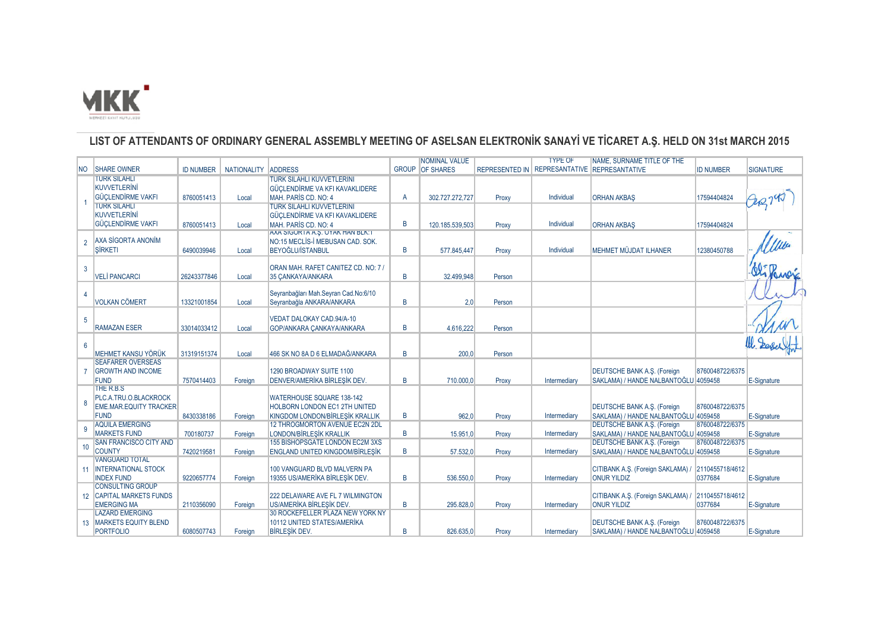

## **LIST OF ATTENDANTS OF ORDINARY GENERAL ASSEMBLY MEETING OF ASELSAN ELEKTRONİK SANAYİ VE TİCARET A.Ş. HELD ON 31st MARCH 2015**

|                 |                               |                  |                     |                                         |   | <b>NOMINAL VALUE</b>   |        | <b>TYPE OF</b>                               | NAME, SURNAME TITLE OF THE                        |                  |                  |
|-----------------|-------------------------------|------------------|---------------------|-----------------------------------------|---|------------------------|--------|----------------------------------------------|---------------------------------------------------|------------------|------------------|
| NO.             | <b>SHARE OWNER</b>            | <b>ID NUMBER</b> | NATIONALITY ADDRESS |                                         |   | <b>GROUP</b> OF SHARES |        | REPRESENTED IN REPRESANTATIVE REPRESANTATIVE |                                                   | <b>ID NUMBER</b> | <b>SIGNATURE</b> |
|                 | <b>TURK SILAHLI</b>           |                  |                     | <b>TURK SILAHLI KUVVETLERINI</b>        |   |                        |        |                                              |                                                   |                  |                  |
|                 | <b>KUVVETLERINI</b>           |                  |                     | GÜCLENDİRME VA KFI KAVAKLIDERE          |   |                        |        |                                              |                                                   |                  |                  |
|                 | <b>GÜCLENDİRME VAKFI</b>      | 8760051413       | Local               | MAH. PARIS CD. NO: 4                    | A | 302.727.272,727        | Proxy  | Individual                                   | <b>ORHAN AKBAS</b>                                | 17594404824      |                  |
|                 | <b>TURK SILAHLI</b>           |                  |                     | <b>TURK SILAHLI KUVVETLERINI</b>        |   |                        |        |                                              |                                                   |                  |                  |
|                 | <b>KUVVETLERINI</b>           |                  |                     | GÜCLENDİRME VA KFI KAVAKLIDERE          |   |                        |        |                                              |                                                   |                  |                  |
|                 | <b>GÜCLENDIRME VAKFI</b>      | 8760051413       | Local               | MAH, PARIS CD, NO: 4                    | B | 120.185.539,503        | Proxy  | Individual                                   | <b>ORHAN AKBAS</b>                                | 17594404824      |                  |
|                 |                               |                  |                     | AXA SIGURTA A.S. OYAK HAN BLK.T         |   |                        |        |                                              |                                                   |                  |                  |
| $\overline{2}$  | AXA SİGORTA ANONİM            |                  |                     | NO:15 MECLIS-I MEBUSAN CAD, SOK.        |   |                        |        |                                              |                                                   |                  |                  |
|                 | SİRKETI                       | 6490039946       | Local               | <b>BEYOĞLU/İSTANBUL</b>                 | B | 577.845.447            | Proxy  | Individual                                   | <b>MEHMET MÜJDAT ILHANER</b>                      | 12380450788      |                  |
|                 |                               |                  |                     |                                         |   |                        |        |                                              |                                                   |                  |                  |
| 3               |                               |                  |                     | ORAN MAH, RAFET CANITEZ CD, NO: 7 /     |   |                        |        |                                              |                                                   |                  |                  |
|                 | <b>VELİ PANCARCI</b>          | 26243377846      | Local               | 35 CANKAYA/ANKARA                       | B | 32.499.948             | Person |                                              |                                                   |                  |                  |
|                 |                               |                  |                     | Seyranbağları Mah.Seyran Cad.No:6/10    |   |                        |        |                                              |                                                   |                  |                  |
|                 | <b>VOLKAN CÖMERT</b>          |                  | Local               | Seyranbağla ANKARA/ANKARA               | R | 2.0                    | Person |                                              |                                                   |                  |                  |
|                 |                               | 13321001854      |                     |                                         |   |                        |        |                                              |                                                   |                  |                  |
| 5               |                               |                  |                     | VEDAT DALOKAY CAD.94/A-10               |   |                        |        |                                              |                                                   |                  |                  |
|                 | <b>RAMAZAN ESER</b>           | 33014033412      | Local               | GOP/ANKARA CANKAYA/ANKARA               | B | 4.616.222              | Person |                                              |                                                   |                  |                  |
|                 |                               |                  |                     |                                         |   |                        |        |                                              |                                                   |                  |                  |
| $6\overline{6}$ |                               |                  |                     |                                         |   |                        |        |                                              |                                                   |                  |                  |
|                 | MEHMET KANSU YÖRÜK            | 31319151374      | Local               | 466 SK NO 8A D 6 ELMADAĞ/ANKARA         | B | 200.0                  | Person |                                              |                                                   |                  |                  |
|                 | <b>SEAFARER OVERSEAS</b>      |                  |                     |                                         |   |                        |        |                                              |                                                   |                  |                  |
|                 | <b>GROWTH AND INCOME</b>      |                  |                     | 1290 BROADWAY SUITE 1100                |   |                        |        |                                              | <b>DEUTSCHE BANK A.S. (Foreign</b>                | 8760048722/6375  |                  |
|                 | <b>FUND</b>                   | 7570414403       | Foreign             | <b>DENVER/AMERIKA BIRLESIK DEV.</b>     | B | 710,000.0              | Proxy  | Intermediary                                 | SAKLAMA) / HANDE NALBANTOĞLU 4059458              |                  | E-Signature      |
|                 | THE R.B.S.                    |                  |                     |                                         |   |                        |        |                                              |                                                   |                  |                  |
|                 | PLC.A.TRU.O.BLACKROCK         |                  |                     | <b>WATERHOUSE SQUARE 138-142</b>        |   |                        |        |                                              |                                                   |                  |                  |
|                 | <b>EME.MAR.EQUITY TRACKER</b> |                  |                     | <b>HOLBORN LONDON EC1 2TH UNITED</b>    |   |                        |        |                                              | <b>DEUTSCHE BANK A.S. (Foreign</b>                | 8760048722/6375  |                  |
|                 | <b>FUND</b>                   | 8430338186       | Foreign             | KINGDOM LONDON/BİRLEŞİK KRALLIK         | B | 962.0                  | Proxy  | Intermediary                                 | SAKLAMA) / HANDE NALBANTOĞLU 4059458              |                  | E-Signature      |
|                 | <b>AQUILA EMERGING</b>        |                  |                     | 12 THROGMORTON AVENUE EC2N 2DL          |   |                        |        |                                              | <b>DEUTSCHE BANK A.S. (Foreign</b>                | 8760048722/6375  |                  |
| 9               | <b>MARKETS FUND</b>           | 700180737        | Foreian             | LONDON/BİRLEŞİK KRALLIK                 | B | 15,951.0               | Proxy  | Intermediary                                 | SAKLAMA) / HANDE NALBANTOĞLU 4059458              |                  | E-Signature      |
|                 | <b>SAN FRANCISCO CITY AND</b> |                  |                     | 155 BISHOPSGATE LONDON EC2M 3XS         |   |                        |        |                                              | <b>DEUTSCHE BANK A.S. (Foreign</b>                | 8760048722/6375  |                  |
| 10              | <b>COUNTY</b>                 | 7420219581       | Foreign             | ENGLAND UNITED KINGDOM/BİRLEŞİK         | B | 57.532,0               | Proxy  | Intermediary                                 | SAKLAMA) / HANDE NALBANTOĞLU 4059458              |                  | E-Signature      |
|                 | <b>VANGUARD TOTAL</b>         |                  |                     |                                         |   |                        |        |                                              |                                                   |                  |                  |
|                 | 11 INTERNATIONAL STOCK        |                  |                     | 100 VANGUARD BLVD MALVERN PA            |   |                        |        |                                              | CITIBANK A.Ş. (Foreign SAKLAMA) /                 | 2110455718/4612  |                  |
|                 | <b>INDEX FUND</b>             | 9220657774       | Foreian             | 19355 US/AMERİKA BİRLEŞİK DEV.          | B | 536,550.0              | Proxy  | Intermediary                                 | <b>ONUR YILDIZ</b>                                | 0377684          | E-Signature      |
|                 | <b>CONSULTING GROUP</b>       |                  |                     |                                         |   |                        |        |                                              |                                                   |                  |                  |
|                 | 12 CAPITAL MARKETS FUNDS      |                  |                     | 222 DELAWARE AVE FL 7 WILMINGTON        |   |                        |        |                                              | CITIBANK A.S. (Foreign SAKLAMA) / 2110455718/4612 |                  |                  |
|                 | <b>EMERGING MA</b>            | 2110356090       | Foreign             | US/AMERIKA BIRLESIK DEV.                | B | 295.828,0              | Proxy  | Intermediary                                 | <b>ONUR YILDIZ</b>                                | 0377684          | E-Signature      |
|                 | <b>LAZARD EMERGING</b>        |                  |                     | <b>30 ROCKEFELLER PLAZA NEW YORK NY</b> |   |                        |        |                                              |                                                   |                  |                  |
|                 | 13 MARKETS EQUITY BLEND       |                  |                     | 10112 UNITED STATES/AMERIKA             |   |                        |        |                                              | <b>DEUTSCHE BANK A.S. (Foreign</b>                | 8760048722/6375  |                  |
|                 | <b>PORTFOLIO</b>              | 6080507743       | Foreign             | <b>BIRLESIK DEV.</b>                    | B | 826.635.0              | Proxy  | Intermediary                                 | SAKLAMA) / HANDE NALBANTOĞLU 4059458              |                  | E-Signature      |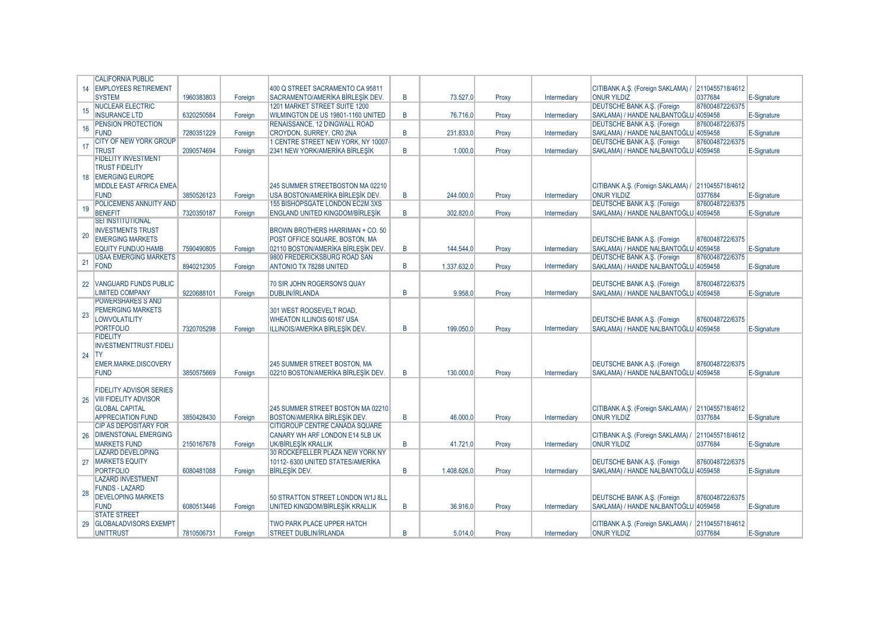|    | <b>CALIFORNIA PUBLIC</b>       |            |         |                                         |                |             |       |              |                                                   |                 |             |
|----|--------------------------------|------------|---------|-----------------------------------------|----------------|-------------|-------|--------------|---------------------------------------------------|-----------------|-------------|
| 14 | <b>EMPLOYEES RETIREMENT</b>    |            |         | 400 Q STREET SACRAMENTO CA 95811        |                |             |       |              | CITIBANK A.S. (Foreign SAKLAMA) /                 | 2110455718/4612 |             |
|    | <b>SYSTEM</b>                  | 1960383803 | Foreian | SACRAMENTO/AMERIKA BIRLESIK DEV.        | B              | 73,527.0    | Proxy | Intermediary | <b>ONUR YILDIZ</b>                                | 0377684         | E-Signature |
|    | <b>NUCLEAR ELECTRIC</b>        |            |         | 1201 MARKET STREET SUITE 1200           |                |             |       |              | <b>DEUTSCHE BANK A.S. (Foreign</b>                | 8760048722/6375 |             |
| 15 | <b>INSURANCE LTD</b>           | 6320250584 |         |                                         | B              |             |       |              |                                                   |                 |             |
|    |                                |            | Foreian | WILMINGTON DE US 19801-1160 UNITED      |                | 76.716.0    | Proxy | Intermediary | SAKLAMA) / HANDE NALBANTOĞLU 4059458              |                 | E-Signature |
| 16 | PENSION PROTECTION             |            |         | RENAISSANCE, 12 DINGWALL ROAD           |                |             |       |              | <b>DEUTSCHE BANK A.S. (Foreign</b>                | 8760048722/6375 |             |
|    | <b>FUND</b>                    | 7280351229 | Foreian | CROYDON, SURREY, CR0 2NA                | B              | 231.833.0   | Proxy | Intermediary | SAKLAMA) / HANDE NALBANTOĞLU 4059458              |                 | E-Signature |
| 17 | <b>CITY OF NEW YORK GROUP</b>  |            |         | 1 CENTRE STREET NEW YORK, NY 10007-     |                |             |       |              | <b>DEUTSCHE BANK A.S. (Foreign</b>                | 8760048722/6375 |             |
|    | <b>TRUST</b>                   | 2090574694 | Foreign | 2341 NEW YORK/AMERİKA BİRLEŞİK          | B              | 1.000,0     | Proxy | Intermediary | SAKLAMA) / HANDE NALBANTOĞLU 4059458              |                 | E-Signature |
|    | <b>FIDELITY INVESTMENT</b>     |            |         |                                         |                |             |       |              |                                                   |                 |             |
|    | <b>TRUST FIDELITY</b>          |            |         |                                         |                |             |       |              |                                                   |                 |             |
|    | 18 EMERGING EUROPE             |            |         |                                         |                |             |       |              |                                                   |                 |             |
|    | <b>MIDDLE EAST AFRICA EMEA</b> |            |         | 245 SUMMER STREETBOSTON MA 02210        |                |             |       |              | CITIBANK A.S. (Foreign SAKLAMA) / 2110455718/4612 |                 |             |
|    | <b>FUND</b>                    | 3850526123 | Foreian | USA BOSTON/AMERIKA BIRLESIK DEV.        | $\overline{B}$ | 244.000.0   | Proxy | Intermediary | <b>ONUR YILDIZ</b>                                | 0377684         | E-Signature |
|    | POLICEMENS ANNUITY AND         |            |         | 155 BISHOPSGATE LONDON EC2M 3XS         |                |             |       |              | <b>DEUTSCHE BANK A.S. (Foreign</b>                | 8760048722/6375 |             |
| 19 | <b>BENEFIT</b>                 |            |         | <b>ENGLAND UNITED KINGDOM/BİRLEŞİK</b>  | B              | 302.820.0   |       |              | SAKLAMA) / HANDE NALBANTOĞLU 4059458              |                 |             |
|    | <b>SEI INSTITUTIONAL</b>       | 7320350187 | Foreign |                                         |                |             | Proxy | Intermediary |                                                   |                 | E-Signature |
|    |                                |            |         |                                         |                |             |       |              |                                                   |                 |             |
| 20 | <b>INVESTMENTS TRUST</b>       |            |         | <b>BROWN BROTHERS HARRIMAN + CO. 50</b> |                |             |       |              |                                                   |                 |             |
|    | <b>EMERGING MARKETS</b>        |            |         | POST OFFICE SQUARE, BOSTON, MA          |                |             |       |              | <b>DEUTSCHE BANK A.S. (Foreign</b>                | 8760048722/6375 |             |
|    | <b>EQUITY FUND/JO HAMB</b>     | 7590490805 | Foreign | 02110 BOSTON/AMERIKA BIRLESIK DEV.      | B              | 144.544.0   | Proxy | Intermediary | SAKLAMA) / HANDE NALBANTOĞLU 4059458              |                 | E-Signature |
|    | <b>USAA EMERGING MARKETS</b>   |            |         | 9800 FREDERICKSBURG ROAD SAN            |                |             |       |              | <b>DEUTSCHE BANK A.S. (Foreign</b>                | 8760048722/6375 |             |
| 21 | <b>FOND</b>                    | 8940212305 | Foreign | <b>ANTONIO TX 78288 UNITED</b>          | B              | 1.337.632.0 | Proxy | Intermediary | SAKLAMA) / HANDE NALBANTOĞLU 4059458              |                 | E-Signature |
|    |                                |            |         |                                         |                |             |       |              |                                                   |                 |             |
| 22 | <b>VANGUARD FUNDS PUBLIC</b>   |            |         | 70 SIR JOHN ROGERSON'S QUAY             |                |             |       |              | <b>DEUTSCHE BANK A.S. (Foreign</b>                | 8760048722/6375 |             |
|    | <b>LIMITED COMPANY</b>         | 9220688101 | Foreign | <b>DUBLIN/IRLANDA</b>                   | B              | 9.958.0     | Proxy | Intermediary | SAKLAMA) / HANDE NALBANTOĞLU 4059458              |                 | E-Signature |
|    | <b>POWERSHARES S AND</b>       |            |         |                                         |                |             |       |              |                                                   |                 |             |
|    | <b>PEMERGING MARKETS</b>       |            |         | 301 WEST ROOSEVELT ROAD,                |                |             |       |              |                                                   |                 |             |
| 23 | <b>LOWVOLATILITY</b>           |            |         |                                         |                |             |       |              |                                                   |                 |             |
|    |                                |            |         | <b>WHEATON ILLINOIS 60187 USA</b>       |                |             |       |              | DEUTSCHE BANK A.Ş. (Foreign                       | 8760048722/6375 |             |
|    | <b>PORTFOLIO</b>               | 7320705298 | Foreian | ILLINOIS/AMERİKA BİRLEŞİK DEV.          | B              | 199.050.0   | Proxy | Intermediary | SAKLAMA) / HANDE NALBANTOĞLU 4059458              |                 | E-Signature |
|    | <b>FIDELITY</b>                |            |         |                                         |                |             |       |              |                                                   |                 |             |
|    | <b>INVESTMENTTRUST.FIDELI</b>  |            |         |                                         |                |             |       |              |                                                   |                 |             |
| 24 | <b>TY</b>                      |            |         |                                         |                |             |       |              |                                                   |                 |             |
|    | <b>EMER.MARKE.DISCOVERY</b>    |            |         | 245 SUMMER STREET BOSTON, MA            |                |             |       |              | <b>DEUTSCHE BANK A.S. (Foreign</b>                | 8760048722/6375 |             |
|    | <b>FUND</b>                    | 3850575669 | Foreign | 02210 BOSTON/AMERİKA BİRLESİK DEV.      | B              | 130,000.0   | Proxy | Intermediary | SAKLAMA) / HANDE NALBANTOĞLU 4059458              |                 | E-Signature |
|    |                                |            |         |                                         |                |             |       |              |                                                   |                 |             |
|    | <b>FIDELITY ADVISOR SERIES</b> |            |         |                                         |                |             |       |              |                                                   |                 |             |
| 25 | <b>VIII FIDELITY ADVISOR</b>   |            |         |                                         |                |             |       |              |                                                   |                 |             |
|    | <b>GLOBAL CAPITAL</b>          |            |         | 245 SUMMER STREET BOSTON MA 02210       |                |             |       |              | CITIBANK A.S. (Foreign SAKLAMA) / 2110455718/4612 |                 |             |
|    | <b>APPRECIATION FUND</b>       | 3850428430 | Foreign | BOSTON/AMERIKA BIRLEŞIK DEV.            | B              | 46,000.0    | Proxy | Intermediary | <b>ONUR YILDIZ</b>                                | 0377684         | E-Signature |
|    | <b>CIP AS DEPOSITARY FOR</b>   |            |         | CITIGROUP CENTRE CANADA SQUARE          |                |             |       |              |                                                   |                 |             |
|    | <b>DIMENSTONAL EMERGING</b>    |            |         |                                         |                |             |       |              |                                                   |                 |             |
| 26 |                                |            |         | CANARY WH ARF LONDON E14 5LB UK         |                |             |       |              | CITIBANK A.S. (Foreign SAKLAMA) /                 | 2110455718/4612 |             |
|    | <b>MARKETS FUND</b>            | 2150167678 | Foreian | UK/BİRLESİK KRALLIK                     | B              | 41.721.0    | Proxy | Intermediary | <b>ONUR YILDIZ</b>                                | 0377684         | E-Signature |
|    | <b>LAZARD DEVELOPING</b>       |            |         | 30 ROCKEFELLER PLAZA NEW YORK NY        |                |             |       |              |                                                   |                 |             |
| 27 | <b>MARKETS EQUITY</b>          |            |         | 10112-6300 UNITED STATES/AMERIKA        |                |             |       |              | <b>DEUTSCHE BANK A.S. (Foreign</b>                | 8760048722/6375 |             |
|    | <b>PORTFOLIO</b>               | 6080481088 | Foreian | <b>BIRLESIK DEV.</b>                    | B              | 1.408.626.0 | Proxy | Intermediary | SAKLAMA) / HANDE NALBANTOĞLU 4059458              |                 | E-Signature |
|    | <b>LAZARD INVESTMENT</b>       |            |         |                                         |                |             |       |              |                                                   |                 |             |
|    | <b>FUNDS - LAZARD</b>          |            |         |                                         |                |             |       |              |                                                   |                 |             |
| 28 | <b>DEVELOPING MARKETS</b>      |            |         | 50 STRATTON STREET LONDON W1J 8LL       |                |             |       |              | <b>DEUTSCHE BANK A.S. (Foreign</b>                | 8760048722/6375 |             |
|    | <b>FUND</b>                    | 6080513446 | Foreign | UNITED KINGDOM/BİRLESİK KRALLIK         | B              | 36.916.0    | Proxy | Intermediary | SAKLAMA) / HANDE NALBANTOĞLU 4059458              |                 | E-Signature |
|    | <b>STATE STREET</b>            |            |         |                                         |                |             |       |              |                                                   |                 |             |
| 29 | <b>GLOBALADVISORS EXEMPT</b>   |            |         | <b>TWO PARK PLACE UPPER HATCH</b>       |                |             |       |              | CITIBANK A.S. (Foreign SAKLAMA) / 2110455718/4612 |                 |             |
|    | <b>UNITTRUST</b>               | 7810506731 | Foreign | <b>STREET DUBLIN/IRLANDA</b>            | B              | 5.014.0     | Proxy | Intermediary | <b>ONUR YILDIZ</b>                                | 0377684         | E-Signature |
|    |                                |            |         |                                         |                |             |       |              |                                                   |                 |             |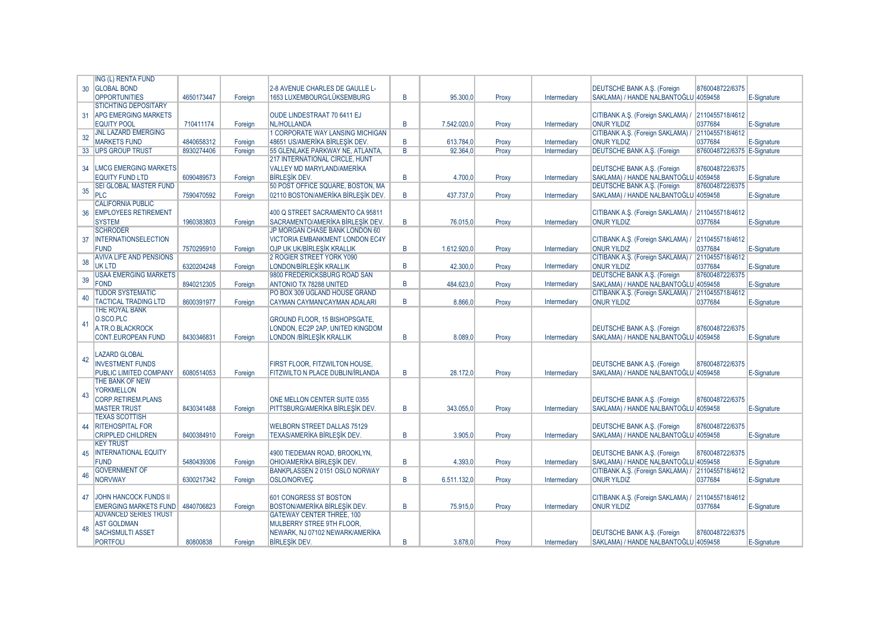|                 | <b>ING (L) RENTA FUND</b>                        |            |         |                                        |                |             |       |              |                                                   |                             |             |
|-----------------|--------------------------------------------------|------------|---------|----------------------------------------|----------------|-------------|-------|--------------|---------------------------------------------------|-----------------------------|-------------|
| 30 <sup>°</sup> | <b>GLOBAL BOND</b>                               |            |         | 2-8 AVENUE CHARLES DE GAULLE L-        |                |             |       |              | <b>DEUTSCHE BANK A.S. (Foreign</b>                | 8760048722/6375             |             |
|                 | <b>OPPORTUNITIES</b>                             | 4650173447 | Foreian | 1653 LUXEMBOURG/LÜKSEMBURG             | B              | 95,300.0    | Proxy | Intermediary | SAKLAMA) / HANDE NALBANTOĞLU 4059458              |                             | E-Signature |
|                 | <b>STICHTING DEPOSITARY</b>                      |            |         |                                        |                |             |       |              |                                                   |                             |             |
| 31              | <b>APG EMERGING MARKETS</b>                      |            |         | OUDE LINDESTRAAT 70 6411 EJ            |                |             |       |              | CITIBANK A.S. (Foreign SAKLAMA) / 2110455718/4612 |                             |             |
|                 | <b>EQUITY POOL</b>                               | 710411174  | Foreian | NL/HOLLANDA                            | B              | 7.542.020.0 | Proxy | Intermediary | <b>ONUR YILDIZ</b>                                | 0377684                     | E-Signature |
|                 | <b>JNL LAZARD EMERGING</b>                       |            |         | 1 CORPORATE WAY LANSING MICHIGAN       |                |             |       |              | CITIBANK A.S. (Foreign SAKLAMA) /                 | 2110455718/4612             |             |
| 32              | <b>MARKETS FUND</b>                              | 4840658312 | Foreian | 48651 US/AMERIKA BIRLESIK DEV.         | B              | 613.784.0   | Proxy | Intermediary | <b>ONUR YILDIZ</b>                                | 0377684                     | E-Signature |
|                 | 33 UPS GROUP TRUST                               | 8930274406 | Foreian | 55 GLENLAKE PARKWAY NE. ATLANTA.       | $\overline{R}$ | 92.364.0    | Proxy | Intermediary | <b>DEUTSCHE BANK A.S. (Foreign</b>                | 8760048722/6375 E-Signature |             |
|                 |                                                  |            |         | <b>217 INTERNATIONAL CIRCLE, HUNT</b>  |                |             |       |              |                                                   |                             |             |
|                 |                                                  |            |         | VALLEY MD MARYLAND/AMERİKA             |                |             |       |              |                                                   | 8760048722/6375             |             |
| 34              | <b>LMCG EMERGING MARKETS</b>                     |            |         |                                        |                |             |       |              | <b>DEUTSCHE BANK A.S. (Foreign</b>                |                             |             |
|                 | <b>EQUITY FUND LTD</b>                           | 6090489573 | Foreign | <b>BIRLESIK DEV.</b>                   | B              | 4.700.0     | Proxy | Intermediary | SAKLAMA) / HANDE NALBANTOĞLU 4059458              |                             | E-Signature |
| 35              | <b>SEI GLOBAL MASTER FUND</b>                    |            |         | 50 POST OFFICE SQUARE, BOSTON, MA      |                |             |       |              | <b>DEUTSCHE BANK A.S. (Foreign</b>                | 8760048722/6375             |             |
|                 | PLC                                              | 7590470592 | Foreign | 02110 BOSTON/AMERİKA BİRLEŞİK DEV.     | B.             | 437.737,0   | Proxy | Intermediary | SAKLAMA) / HANDE NALBANTOĞLU 4059458              |                             | E-Signature |
|                 | <b>CALIFORNIA PUBLIC</b>                         |            |         |                                        |                |             |       |              |                                                   |                             |             |
| 36              | <b>EMPLOYEES RETIREMENT</b>                      |            |         | 400 Q STREET SACRAMENTO CA 95811       |                |             |       |              | CITIBANK A.S. (Foreign SAKLAMA) / 2110455718/4612 |                             |             |
|                 | <b>SYSTEM</b>                                    | 1960383803 | Foreian | SACRAMENTO/AMERIKA BIRLESIK DEV.       | B              | 76.015.0    | Proxy | Intermediary | <b>ONUR YILDIZ</b>                                | 0377684                     | E-Signature |
|                 | <b>SCHRODER</b>                                  |            |         | JP MORGAN CHASE BANK LONDON 60         |                |             |       |              |                                                   |                             |             |
| 37              | <b>INTERNATIONSELECTION</b>                      |            |         | VICTORIA EMBANKMENT LONDON EC4Y        |                |             |       |              | CITIBANK A.S. (Foreign SAKLAMA) /                 | 2110455718/4612             |             |
|                 | <b>FUND</b>                                      | 7570295910 | Foreian | OJP UK UK/BİRLEŞİK KRALLIK             | B              | 1.612.920,0 | Proxy | Intermediary | <b>ONUR YILDIZ</b>                                | 0377684                     | E-Signature |
| 38              | <b>AVIVA LIFE AND PENSIONS</b>                   |            |         | 2 ROGIER STREET YORK Y090              |                |             |       |              | CITIBANK A.S. (Foreign SAKLAMA) /                 | 2110455718/4612             |             |
|                 | <b>UK LTD</b>                                    | 6320204248 | Foreign | LONDON/BİRLEŞİK KRALLIK                | B              | 42.300,0    | Proxy | Intermediary | <b>ONUR YILDIZ</b>                                | 0377684                     | E-Signature |
|                 | <b>USAA EMERGING MARKETS</b>                     |            |         | 9800 FREDERICKSBURG ROAD SAN           |                |             |       |              | <b>DEUTSCHE BANK A.S. (Foreign</b>                | 8760048722/6375             |             |
| 39              | FOND                                             | 8940212305 | Foreian | ANTONIO TX 78288 UNITED                | B              | 484.623.0   | Proxy | Intermediary | SAKLAMA) / HANDE NALBANTOĞLU 4059458              |                             | E-Signature |
|                 | <b>TUDOR SYSTEMATIC</b>                          |            |         | PO BOX 309 UGLAND HOUSE GRAND          |                |             |       |              | CITIBANK A.S. (Foreign SAKLAMA) / 2110455718/4612 |                             |             |
| 40              | <b>TACTICAL TRADING LTD</b>                      | 8600391977 | Foreian | CAYMAN CAYMAN/CAYMAN ADALARI           | B.             | 8.866.0     | Proxy | Intermediary | <b>ONUR YILDIZ</b>                                | 0377684                     | E-Signature |
|                 | <b>THE ROYAL BANK</b>                            |            |         |                                        |                |             |       |              |                                                   |                             |             |
|                 | O.SCO.PLC                                        |            |         | GROUND FLOOR, 15 BISHOPSGATE,          |                |             |       |              |                                                   |                             |             |
| 41              | A.TR.O.BLACKROCK                                 |            |         | LONDON, EC2P 2AP, UNITED KINGDOM       |                |             |       |              | <b>DEUTSCHE BANK A.S. (Foreign</b>                | 8760048722/6375             |             |
|                 | <b>CONT.EUROPEAN FUND</b>                        | 8430346831 | Foreign | LONDON /BİRLEŞİK KRALLIK               | B              | 8.089,0     | Proxy | Intermediary | SAKLAMA) / HANDE NALBANTOĞLU 4059458              |                             | E-Signature |
|                 |                                                  |            |         |                                        |                |             |       |              |                                                   |                             |             |
|                 | <b>LAZARD GLOBAL</b>                             |            |         |                                        |                |             |       |              |                                                   |                             |             |
| 42              | <b>INVESTMENT FUNDS</b>                          |            |         | FIRST FLOOR. FITZWILTON HOUSE.         |                |             |       |              | <b>DEUTSCHE BANK A.S. (Foreign</b>                | 8760048722/6375             |             |
|                 | PUBLIC LIMITED COMPANY                           | 6080514053 | Foreign | FITZWILTO N PLACE DUBLIN/İRLANDA       | B              | 28.172.0    | Proxy | Intermediary | SAKLAMA) / HANDE NALBANTOĞLU 4059458              |                             | E-Signature |
|                 | THE BANK OF NEW                                  |            |         |                                        |                |             |       |              |                                                   |                             |             |
|                 | <b>YORKMELLON</b>                                |            |         |                                        |                |             |       |              |                                                   |                             |             |
| 43              | <b>CORP.RETIREM.PLANS</b>                        |            |         | <b>ONE MELLON CENTER SUITE 0355</b>    |                |             |       |              | <b>DEUTSCHE BANK A.S. (Foreign</b>                | 8760048722/6375             |             |
|                 |                                                  |            |         |                                        |                |             |       |              |                                                   |                             |             |
|                 | <b>MASTER TRUST</b>                              | 8430341488 | Foreian | <b>PITTSBURG/AMERIKA BIRLESIK DEV.</b> | B              | 343.055.0   | Proxy | Intermediary | SAKLAMA) / HANDE NALBANTOĞLU 4059458              |                             | E-Signature |
|                 | <b>TEXAS SCOTTISH</b><br><b>RITEHOSPITAL FOR</b> |            |         | <b>WELBORN STREET DALLAS 75129</b>     |                |             |       |              |                                                   | 8760048722/6375             |             |
| 44              |                                                  |            |         |                                        |                |             |       |              | DEUTSCHE BANK A.S. (Foreign                       |                             |             |
|                 | <b>CRIPPLED CHILDREN</b>                         | 8400384910 | Foreign | TEXAS/AMERİKA BİRLEŞİK DEV.            | B.             | 3.905.0     | Proxy | Intermediary | SAKLAMA) / HANDE NALBANTOĞLU 4059458              |                             | E-Signature |
|                 | <b>KEY TRUST</b>                                 |            |         |                                        |                |             |       |              |                                                   |                             |             |
| 45              | <b>INTERNATIONAL EQUITY</b>                      |            |         | 4900 TIEDEMAN ROAD, BROOKLYN.          |                |             |       |              | <b>DEUTSCHE BANK A.S. (Foreign</b>                | 8760048722/6375             |             |
|                 | <b>FUND</b>                                      | 5480439306 | Foreign | OHIO/AMERİKA BİRLEŞİK DEV.             | B              | 4.393.0     | Proxy | Intermediary | SAKLAMA) / HANDE NALBANTOĞLU 4059458              |                             | E-Signature |
| 46              | <b>GOVERNMENT OF</b>                             |            |         | BANKPLASSEN 20151 OSLO NORWAY          |                |             |       |              | CITIBANK A.Ş. (Foreign SAKLAMA) / 2110455718/4612 |                             |             |
|                 | <b>NORVWAY</b>                                   | 6300217342 | Foreian | <b>OSLO/NORVEC</b>                     | B              | 6.511.132.0 | Proxy | Intermediary | <b>ONUR YILDIZ</b>                                | 0377684                     | E-Signature |
|                 |                                                  |            |         |                                        |                |             |       |              |                                                   |                             |             |
| 47              | <b>JOHN HANCOCK FUNDS II</b>                     |            |         | 601 CONGRESS ST BOSTON                 |                |             |       |              | CITIBANK A.Ş. (Foreign SAKLAMA) / 2110455718/4612 |                             |             |
|                 | <b>EMERGING MARKETS FUND</b>                     | 4840706823 | Foreian | <b>BOSTON/AMERIKA BIRLESIK DEV.</b>    | B              | 75,915.0    | Proxy | Intermediary | <b>ONUR YILDIZ</b>                                | 0377684                     | E-Signature |
|                 | <b>ADVANCED SERIES TRUST</b>                     |            |         | <b>GATEWAY CENTER THREE, 100</b>       |                |             |       |              |                                                   |                             |             |
| 48              | <b>AST GOLDMAN</b>                               |            |         | MULBERRY STREE 9TH FLOOR,              |                |             |       |              |                                                   |                             |             |
|                 | <b>SACHSMULTI ASSET</b>                          |            |         | NEWARK, NJ 07102 NEWARK/AMERİKA        |                |             |       |              | <b>DEUTSCHE BANK A.S. (Foreign</b>                | 8760048722/6375             |             |
|                 | <b>PORTFOLI</b>                                  | 80800838   | Foreign | <b>BİRLEŞİK DEV.</b>                   | B              | 3.878,0     | Proxy | Intermediary | SAKLAMA) / HANDE NALBANTOĞLU 4059458              |                             | E-Signature |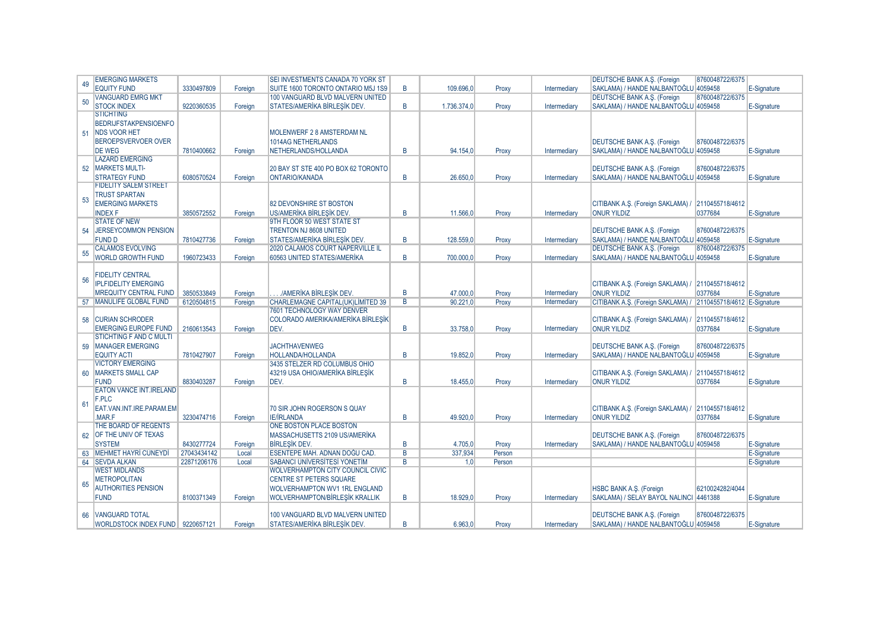|    | <b>EMERGING MARKETS</b>            |             |         | SEI INVESTMENTS CANADA 70 YORK ST       |                |             |        |              | <b>DEUTSCHE BANK A.S. (Foreign</b>                            | 8760048722/6375 |             |
|----|------------------------------------|-------------|---------|-----------------------------------------|----------------|-------------|--------|--------------|---------------------------------------------------------------|-----------------|-------------|
| 49 | <b>EQUITY FUND</b>                 | 3330497809  | Foreian | SUITE 1600 TORONTO ONTARIO M5J 1S9      | R.             | 109.696.0   | Proxy  | Intermediary | SAKLAMA) / HANDE NALBANTOĞLU 4059458                          |                 | E-Signature |
|    | <b>VANGUARD EMRG MKT</b>           |             |         | 100 VANGUARD BLVD MALVERN UNITED        |                |             |        |              | <b>DEUTSCHE BANK A.S. (Foreign</b>                            | 8760048722/6375 |             |
| 50 | <b>STOCK INDEX</b>                 | 9220360535  | Foreian | STATES/AMERIKA BIRLESIK DEV.            | B              | 1.736.374.0 | Proxy  | Intermediary | SAKLAMA) / HANDE NALBANTOĞLU 4059458                          |                 | E-Signature |
|    | <b>STICHTING</b>                   |             |         |                                         |                |             |        |              |                                                               |                 |             |
|    | <b>BEDRIJFSTAKPENSIOENFO</b>       |             |         |                                         |                |             |        |              |                                                               |                 |             |
| 51 | <b>NDS VOOR HET</b>                |             |         | MOLENWERF 2 8 AMSTERDAM NL              |                |             |        |              |                                                               |                 |             |
|    | <b>BEROEPSVERVOER OVER</b>         |             |         | <b>1014AG NETHERLANDS</b>               |                |             |        |              | <b>DEUTSCHE BANK A.S. (Foreign</b>                            | 8760048722/6375 |             |
|    | <b>DE WEG</b>                      | 7810400662  | Foreian | NETHERLANDS/HOLLANDA                    | B              | 94.154.0    | Proxy  | Intermediary | SAKLAMA) / HANDE NALBANTOĞLU 4059458                          |                 | E-Signature |
|    | <b>LAZARD EMERGING</b>             |             |         |                                         |                |             |        |              |                                                               |                 |             |
| 52 | <b>MARKETS MULTI-</b>              |             |         | 20 BAY ST STE 400 PO BOX 62 TORONTO     |                |             |        |              | <b>DEUTSCHE BANK A.S. (Foreign</b>                            | 8760048722/6375 |             |
|    | <b>STRATEGY FUND</b>               | 6080570524  | Foreign | ONTARIO/KANADA                          | B              | 26.650,0    | Proxy  | Intermediary | SAKLAMA) / HANDE NALBANTOĞLU 4059458                          |                 | E-Signature |
|    | <b>FIDELITY SALEM STREET</b>       |             |         |                                         |                |             |        |              |                                                               |                 |             |
|    | <b>TRUST SPARTAN</b>               |             |         |                                         |                |             |        |              |                                                               |                 |             |
| 53 | <b>EMERGING MARKETS</b>            |             |         | 82 DEVONSHIRE ST BOSTON                 |                |             |        |              | CITIBANK A.Ş. (Foreign SAKLAMA) /                             | 2110455718/4612 |             |
|    | <b>INDEX F</b>                     | 3850572552  | Foreign | US/AMERIKA BIRLESIK DEV.                | B              | 11.566.0    | Proxy  | Intermediary | <b>ONUR YILDIZ</b>                                            | 0377684         | E-Signature |
|    | <b>STATE OF NEW</b>                |             |         | 9TH FLOOR 50 WEST STATE ST              |                |             |        |              |                                                               |                 |             |
| 54 | JERSEYCOMMON PENSION               |             |         | <b>TRENTON NJ 8608 UNITED</b>           |                |             |        |              | <b>DEUTSCHE BANK A.S. (Foreign</b>                            | 8760048722/6375 |             |
|    | <b>FUND D</b>                      | 7810427736  | Foreian | STATES/AMERIKA BIRLESIK DEV.            | B              | 128,559.0   | Proxy  | Intermediary | SAKLAMA) / HANDE NALBANTOĞLU 4059458                          |                 | E-Signature |
|    | <b>CALAMOS EVOLVING</b>            |             |         | <b>2020 CALAMOS COURT NAPERVILLE IL</b> |                |             |        |              | <b>DEUTSCHE BANK A.S. (Foreign</b>                            | 8760048722/6375 |             |
| 55 | <b>WORLD GROWTH FUND</b>           | 1960723433  | Foreian | 60563 UNITED STATES/AMERIKA             | B              | 700.000.0   | Proxy  | Intermediary | SAKLAMA) / HANDE NALBANTOĞLU 4059458                          |                 | E-Signature |
|    |                                    |             |         |                                         |                |             |        |              |                                                               |                 |             |
|    | <b>FIDELITY CENTRAL</b>            |             |         |                                         |                |             |        |              |                                                               |                 |             |
| 56 | <b>IPLFIDELITY EMERGING</b>        |             |         |                                         |                |             |        |              | CITIBANK A.S. (Foreign SAKLAMA) / 2110455718/4612             |                 |             |
|    | <b>MREQUITY CENTRAL FUND</b>       | 3850533849  | Foreian | /AMERİKA BİRLESİK DEV.                  | B              | 47,000.0    | Proxy  | Intermediary | <b>ONUR YILDIZ</b>                                            | 0377684         | E-Signature |
|    | 57 MANULIFE GLOBAL FUND            | 6120504815  | Foreian | CHARLEMAGNE CAPITAL(UK)LIMITED 39       | $\overline{B}$ | 90.221.0    | Proxy  | Intermediary | CITIBANK A.S. (Foreign SAKLAMA) / 2110455718/4612 E-Signature |                 |             |
|    |                                    |             |         | 7601 TECHNOLOGY WAY DENVER              |                |             |        |              |                                                               |                 |             |
|    | 58 CURIAN SCHRODER                 |             |         | COLORADO AMERIKA/AMERIKA BIRLESIK       |                |             |        |              | CITIBANK A.S. (Foreign SAKLAMA) /                             | 2110455718/4612 |             |
|    | <b>EMERGING EUROPE FUND</b>        | 2160613543  | Foreign | DEV.                                    | B              | 33.758.0    | Proxy  | Intermediary | <b>ONUR YILDIZ</b>                                            | 0377684         | E-Signature |
|    | STICHTING F AND C MULTI            |             |         |                                         |                |             |        |              |                                                               |                 |             |
| 59 | MANAGER EMERGING                   |             |         | <b>JACHTHAVENWEG</b>                    |                |             |        |              | DEUTSCHE BANK A.S. (Foreign                                   | 8760048722/6375 |             |
|    | <b>EQUITY ACTI</b>                 | 7810427907  | Foreign | <b>HOLLANDA/HOLLANDA</b>                | B              | 19.852.0    | Proxy  | Intermediary | SAKLAMA) / HANDE NALBANTOĞLU 4059458                          |                 | E-Signature |
|    | <b>VICTORY EMERGING</b>            |             |         | 3435 STELZER RD COLUMBUS OHIO           |                |             |        |              |                                                               |                 |             |
| 60 | <b>MARKETS SMALL CAP</b>           |             |         | 43219 USA OHIO/AMERIKA BIRLESIK         |                |             |        |              | CITIBANK A.S. (Foreign SAKLAMA) / 2110455718/4612             |                 |             |
|    | <b>FUND</b>                        | 8830403287  | Foreign | DEV.                                    | B              | 18.455,0    | Proxy  | Intermediary | <b>ONUR YILDIZ</b>                                            | 0377684         | E-Signature |
|    | <b>EATON VANCE INT.IRELAND</b>     |             |         |                                         |                |             |        |              |                                                               |                 |             |
|    | F.PLC                              |             |         |                                         |                |             |        |              |                                                               |                 |             |
| 61 | EAT.VAN.INT.IRE.PARAM.EM           |             |         | 70 SIR JOHN ROGERSON S QUAY             |                |             |        |              | CITIBANK A.S. (Foreign SAKLAMA) / 2110455718/4612             |                 |             |
|    | <b>MARF</b>                        | 3230474716  | Foreian | <b>IE/IRLANDA</b>                       | B              | 49.920.0    | Proxy  | Intermediary | <b>ONUR YILDIZ</b>                                            | 0377684         | E-Signature |
|    | THE BOARD OF REGENTS               |             |         | <b>ONE BOSTON PLACE BOSTON</b>          |                |             |        |              |                                                               |                 |             |
|    | 62 OF THE UNIV OF TEXAS            |             |         | MASSACHUSETTS 2109 US/AMERİKA           |                |             |        |              | <b>DEUTSCHE BANK A.S. (Foreign</b>                            | 8760048722/6375 |             |
|    | <b>SYSTEM</b>                      | 8430277724  | Foreian | <b>BIRLESIK DEV.</b>                    | B              | 4.705.0     | Proxy  | Intermediary | SAKLAMA) / HANDE NALBANTOĞLU 4059458                          |                 | E-Signature |
|    | 63 MEHMET HAYRI CUNEYDI            | 27043434142 | Local   | ESENTEPE MAH. ADNAN DOĞU CAD.           | $\overline{B}$ | 337.934     | Person |              |                                                               |                 | E-Signature |
|    | 64   SEVDA ALKAN                   | 22871206176 | Local   | SABANCI ÜNİVERSİTESİ YÖNETİM            | B              | 1.0         | Person |              |                                                               |                 | E-Signature |
|    | <b>WEST MIDLANDS</b>               |             |         | <b>WOLVERHAMPTON CITY COUNCIL CIVIC</b> |                |             |        |              |                                                               |                 |             |
|    | <b>METROPOLITAN</b>                |             |         | <b>CENTRE ST PETERS SQUARE</b>          |                |             |        |              |                                                               |                 |             |
| 65 | <b>AUTHORITIES PENSION</b>         |             |         | <b>WOLVERHAMPTON WV1 1RL ENGLAND</b>    |                |             |        |              | HSBC BANK A.S. (Foreign                                       | 6210024282/4044 |             |
|    | <b>FUND</b>                        | 8100371349  | Foreign | <b>WOLVERHAMPTON/BİRLEŞİK KRALLIK</b>   | B              | 18.929,0    | Proxy  | Intermediary | SAKLAMA) / SELAY BAYOL NALINCI 4461388                        |                 | E-Signature |
|    |                                    |             |         |                                         |                |             |        |              |                                                               |                 |             |
|    | 66 VANGUARD TOTAL                  |             |         | 100 VANGUARD BLVD MALVERN UNITED        |                |             |        |              | <b>DEUTSCHE BANK A.S. (Foreign</b>                            | 8760048722/6375 |             |
|    | WORLDSTOCK INDEX FUND   9220657121 |             | Foreign | STATES/AMERIKA BIRLESIK DEV.            | R              | 6.963,0     | Proxy  | Intermediary | SAKLAMA) / HANDE NALBANTOĞLU 4059458                          |                 | E-Signature |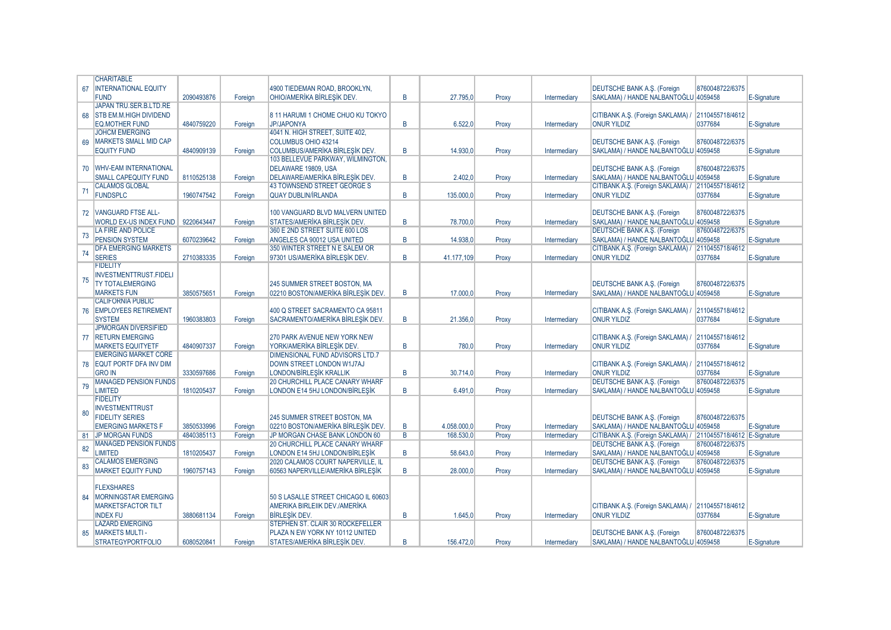|    | <b>CHARITABLE</b>             |            |         |                                        |                |             |       |              |                                                               |                 |             |
|----|-------------------------------|------------|---------|----------------------------------------|----------------|-------------|-------|--------------|---------------------------------------------------------------|-----------------|-------------|
| 67 | <b>INTERNATIONAL EQUITY</b>   |            |         | 4900 TIEDEMAN ROAD, BROOKLYN.          |                |             |       |              | <b>DEUTSCHE BANK A.S. (Foreign</b>                            | 8760048722/6375 |             |
|    | <b>FUND</b>                   | 2090493876 | Foreian | OHIO/AMERIKA BIRLESIK DEV              | B              | 27.795.0    | Proxy | Intermediary | SAKLAMA) / HANDE NALBANTOĞLU 4059458                          |                 | E-Signature |
|    | JAPAN TRU.SER.B.LTD.RE        |            |         |                                        |                |             |       |              |                                                               |                 |             |
|    | <b>STB EM.M.HIGH DIVIDEND</b> |            |         |                                        |                |             |       |              |                                                               |                 |             |
| 68 |                               |            |         | 8 11 HARUMI 1 CHOME CHUO KU TOKYO      |                |             |       |              | CITIBANK A.S. (Foreign SAKLAMA) /                             | 2110455718/4612 |             |
|    | <b>EQ.MOTHER FUND</b>         | 4840759220 | Foreign | JP/JAPONYA                             | B              | 6.522.0     | Proxy | Intermediary | <b>ONUR YILDIZ</b>                                            | 0377684         | E-Signature |
|    | <b>JOHCM EMERGING</b>         |            |         | 4041 N. HIGH STREET, SUITE 402,        |                |             |       |              |                                                               |                 |             |
| 69 | MARKETS SMALL MID CAP         |            |         | COLUMBUS OHIO 43214                    |                |             |       |              | DEUTSCHE BANK A.S. (Foreign                                   | 8760048722/6375 |             |
|    | <b>EQUITY FUND</b>            | 4840909139 | Foreian | <b>COLUMBUS/AMERIKA BIRLESIK DEV.</b>  | $\overline{B}$ | 14.930.0    | Proxy | Intermediary | SAKLAMA) / HANDE NALBANTOĞLU 4059458                          |                 | E-Signature |
|    |                               |            |         | 103 BELLEVUE PARKWAY, WILMINGTON.      |                |             |       |              |                                                               |                 |             |
|    | 70   WHV-EAM INTERNATIONAL    |            |         | DELAWARE 19809, USA                    |                |             |       |              | <b>DEUTSCHE BANK A.S. (Foreign</b>                            | 8760048722/6375 |             |
|    | <b>SMALL CAPEQUITY FUND</b>   | 8110525138 | Foreign | DELAWARE/AMERIKA BIRLESIK DEV.         | $\overline{B}$ | 2.402.0     | Proxy | Intermediary | SAKLAMA) / HANDE NALBANTOĞLU 4059458                          |                 | E-Signature |
|    | <b>CALAMOS GLOBAL</b>         |            |         | 43 TOWNSEND STREET GEORGE S            |                |             |       |              | CITIBANK A.Ş. (Foreign SAKLAMA) /                             | 2110455718/4612 |             |
| 71 | <b>FUNDSPLC</b>               | 1960747542 | Foreign | <b>QUAY DUBLIN/IRLANDA</b>             | $\overline{B}$ | 135,000.0   | Proxy | Intermediary | <b>ONUR YILDIZ</b>                                            | 0377684         | E-Signature |
|    |                               |            |         |                                        |                |             |       |              |                                                               |                 |             |
|    |                               |            |         |                                        |                |             |       |              |                                                               |                 |             |
|    | 72 VANGUARD FTSE ALL-         |            |         | 100 VANGUARD BLVD MALVERN UNITED       |                |             |       |              | <b>DEUTSCHE BANK A.S. (Foreign</b>                            | 8760048722/6375 |             |
|    | <b>WORLD EX-US INDEX FUND</b> | 9220643447 | Foreign | STATES/AMERIKA BIRLESIK DEV.           | B              | 78,700.0    | Proxy | Intermediary | SAKLAMA) / HANDE NALBANTOĞLU 4059458                          |                 | E-Signature |
| 73 | LA FIRE AND POLICE            |            |         | 360 E 2ND STREET SUITE 600 LOS         |                |             |       |              | <b>DEUTSCHE BANK A.S. (Foreign</b>                            | 8760048722/6375 |             |
|    | PENSION SYSTEM                | 6070239642 | Foreian | ANGELES CA 90012 USA UNITED            | $\overline{B}$ | 14.938.0    | Proxy | Intermediary | SAKLAMA) / HANDE NALBANTOĞLU 4059458                          |                 | E-Signature |
| 74 | <b>DFA EMERGING MARKETS</b>   |            |         | 350 WINTER STREET N E SALEM OR         |                |             |       |              | CITIBANK A.Ş. (Foreign SAKLAMA) / 2110455718/4612             |                 |             |
|    | <b>SERIES</b>                 | 2710383335 | Foreian | 97301 US/AMERIKA BIRLESIK DEV.         | $\overline{B}$ | 41.177.109  | Proxy | Intermediary | <b>ONUR YILDIZ</b>                                            | 0377684         | E-Signature |
|    | <b>FIDELITY</b>               |            |         |                                        |                |             |       |              |                                                               |                 |             |
|    | <b>INVESTMENTTRUST.FIDELI</b> |            |         |                                        |                |             |       |              |                                                               |                 |             |
| 75 | <b>TY TOTALEMERGING</b>       |            |         | 245 SUMMER STREET BOSTON, MA           |                |             |       |              | <b>DEUTSCHE BANK A.S. (Foreign</b>                            | 8760048722/6375 |             |
|    | <b>MARKETS FUN</b>            | 3850575651 | Foreign | 02210 BOSTON/AMERIKA BIRLESIK DEV.     | B              | 17.000,0    | Proxy | Intermediary | SAKLAMA) / HANDE NALBANTOĞLU 4059458                          |                 | E-Signature |
|    | <b>CALIFORNIA PUBLIC</b>      |            |         |                                        |                |             |       |              |                                                               |                 |             |
|    | 76 EMPLOYEES RETIREMENT       |            |         | 400 Q STREET SACRAMENTO CA 95811       |                |             |       |              |                                                               |                 |             |
|    |                               |            |         |                                        |                |             |       |              | CITIBANK A.S. (Foreign SAKLAMA) / 2110455718/4612             |                 |             |
|    | <b>SYSTEM</b>                 | 1960383803 | Foreian | SACRAMENTO/AMERIKA BIRLESIK DEV.       | $\overline{B}$ | 21.356.0    | Proxy | Intermediary | <b>ONUR YILDIZ</b>                                            | 0377684         | E-Signature |
|    | <b>JPMORGAN DIVERSIFIED</b>   |            |         |                                        |                |             |       |              |                                                               |                 |             |
|    | 77 RETURN EMERGING            |            |         | 270 PARK AVENUE NEW YORK NEW           |                |             |       |              | CITIBANK A.S. (Foreign SAKLAMA) /                             | 2110455718/4612 |             |
|    | <b>MARKETS EQUITYETF</b>      | 4840907337 | Foreian | YORK/AMERIKA BIRLESIK DEV.             | $\overline{B}$ | 780.0       | Proxy | Intermediary | <b>ONUR YILDIZ</b>                                            | 0377684         | E-Signature |
|    | <b>EMERGING MARKET CORE</b>   |            |         | <b>DIMENSIONAL FUND ADVISORS LTD.7</b> |                |             |       |              |                                                               |                 |             |
| 78 | <b>EQUT PORTF DFA INV DIM</b> |            |         | DOWN STREET LONDON W1J7AJ              |                |             |       |              | CITIBANK A.Ş. (Foreign SAKLAMA) /                             | 2110455718/4612 |             |
|    | <b>GRO IN</b>                 | 3330597686 | Foreign | LONDON/BİRLEŞİK KRALLIK                | B              | 30.714.0    | Proxy | Intermediary | <b>ONUR YILDIZ</b>                                            | 0377684         | E-Signature |
|    | <b>MANAGED PENSION FUNDS</b>  |            |         | 20 CHURCHILL PLACE CANARY WHARF        |                |             |       |              | DEUTSCHE BANK A.Ş. (Foreign                                   | 8760048722/6375 |             |
| 79 | <b>LIMITED</b>                | 1810205437 | Foreian | LONDON E14 5HJ LONDON/BIRLESIK         | $\overline{B}$ | 6.491.0     | Proxy | Intermediary | SAKLAMA) / HANDE NALBANTOĞLU 4059458                          |                 | E-Signature |
|    | <b>FIDELITY</b>               |            |         |                                        |                |             |       |              |                                                               |                 |             |
|    | <b>INVESTMENTTRUST</b>        |            |         |                                        |                |             |       |              |                                                               |                 |             |
| 80 | <b>FIDELITY SERIES</b>        |            |         | 245 SUMMER STREET BOSTON, MA           |                |             |       |              | <b>DEUTSCHE BANK A.S. (Foreign</b>                            | 8760048722/6375 |             |
|    |                               |            |         |                                        |                |             |       |              |                                                               |                 |             |
|    | <b>EMERGING MARKETS F</b>     | 3850533996 | Foreian | 02210 BOSTON/AMERIKA BIRLESIK DEV.     | B              | 4.058.000.0 | Proxy | Intermediary | SAKLAMA) / HANDE NALBANTOĞLU 4059458                          |                 | E-Signature |
|    | 81 JP MORGAN FUNDS            | 4840385113 | Foreign | JP MORGAN CHASE BANK LONDON 60         | $\overline{B}$ | 168.530,0   | Proxy | Intermediary | CITIBANK A.S. (Foreign SAKLAMA) / 2110455718/4612 E-Signature |                 |             |
| 82 | <b>MANAGED PENSION FUNDS</b>  |            |         | <b>20 CHURCHILL PLACE CANARY WHARF</b> |                |             |       |              | DEUTSCHE BANK A.Ş. (Foreign                                   | 8760048722/6375 |             |
|    | <b>LIMITED</b>                | 1810205437 | Foreign | LONDON E14 5HJ LONDON/BİRLEŞİK         | B              | 58.643,0    | Proxy | Intermediary | SAKLAMA) / HANDE NALBANTOĞLU 4059458                          |                 | E-Signature |
| 83 | <b>CALAMOS EMERGING</b>       |            |         | 2020 CALAMOS COURT NAPERVILLE, IL      |                |             |       |              | DEUTSCHE BANK A.S. (Foreign                                   | 8760048722/6375 |             |
|    | <b>MARKET EQUITY FUND</b>     | 1960757143 | Foreian | 60563 NAPERVILLE/AMERIKA BIRLESIK      | B              | 28,000.0    | Proxy | Intermediary | SAKLAMA) / HANDE NALBANTOĞLU 4059458                          |                 | E-Signature |
|    |                               |            |         |                                        |                |             |       |              |                                                               |                 |             |
|    | <b>FLEXSHARES</b>             |            |         |                                        |                |             |       |              |                                                               |                 |             |
| 84 | <b>MORNINGSTAR EMERGING</b>   |            |         | 50 S LASALLE STREET CHICAGO IL 60603   |                |             |       |              |                                                               |                 |             |
|    | <b>MARKETSFACTOR TILT</b>     |            |         | AMERIKA BIRLEIIK DEV./AMERIKA          |                |             |       |              | CITIBANK A.S. (Foreign SAKLAMA) / 2110455718/4612             |                 |             |
|    | <b>INDEX FU</b>               | 3880681134 | Foreign | <b>BIRLESIK DEV.</b>                   | $\overline{B}$ | 1.645.0     | Proxy | Intermediary | <b>ONUR YILDIZ</b>                                            | 0377684         | E-Signature |
|    | <b>LAZARD EMERGING</b>        |            |         | STEPHEN ST. CLAIR 30 ROCKEFELLER       |                |             |       |              |                                                               |                 |             |
|    |                               |            |         |                                        |                |             |       |              |                                                               |                 |             |
| 85 | <b>MARKETS MULTI-</b>         |            |         | PLAZA N EW YORK NY 10112 UNITED        |                |             |       |              | DEUTSCHE BANK A.S. (Foreign                                   | 8760048722/6375 |             |
|    | <b>STRATEGYPORTFOLIO</b>      | 6080520841 | Foreian | STATES/AMERIKA BIRLESIK DEV.           | B              | 156,472.0   | Proxy | Intermediary | SAKLAMA) / HANDE NALBANTOĞLU 4059458                          |                 | E-Signature |